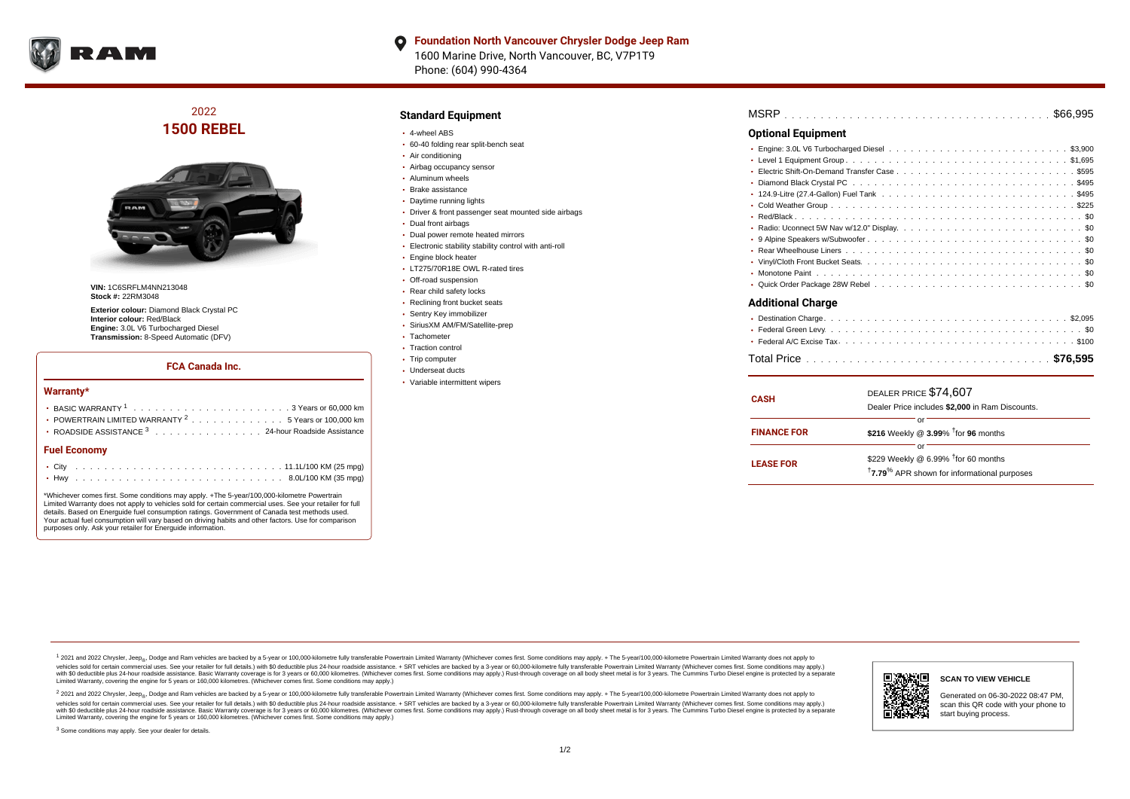

### **Foundation North Vancouver Chrysler Dodge Jeep Ram**  $\bullet$ 1600 Marine Drive, North Vancouver, BC, V7P1T9 Phone: (604) 990-4364

2022 **1500 REBEL**



**VIN:** 1C6SRFLM4NN213048 **Stock #:** 22RM3048

**Exterior colour:** Diamond Black Crystal PC **Interior colour:** Red/Black **Engine:** 3.0L V6 Turbocharged Diesel **Transmission:** 8-Speed Automatic (DFV)

# **FCA Canada Inc.**

#### **Warranty\***

| <b>Fuel Economy</b>                                                                              |  |  |
|--------------------------------------------------------------------------------------------------|--|--|
| ROADSIDE ASSISTANCE 3 24-hour Roadside Assistance                                                |  |  |
| • POWERTRAIN LIMITED WARRANTY $2, \ldots, \ldots, \ldots, \ldots, 5$ Years or 100,000 km         |  |  |
| BASIC WARRANTY $1, \ldots, \ldots, \ldots, \ldots, \ldots, \ldots, \ldots, 3$ Years or 60.000 km |  |  |

\*Whichever comes first. Some conditions may apply. +The 5-year/100,000-kilometre Powertrain Limited Warranty does not apply to vehicles sold for certain commercial uses. See your retailer for full details. Based on Energuide fuel consumption ratings. Government of Canada test methods used. Your actual fuel consumption will vary based on driving habits and other factors. Use for comparison purposes only. Ask your retailer for Energuide information.

# **Standard Equipment**

- 4-wheel ABS
- 60-40 folding rear split-bench seat
- Air conditioning
- Airbag occupancy sensor
- Aluminum wheels
- Brake assistance
- Daytime running lights
- Driver & front passenger seat mounted side airbags
- Dual front airbags
- Dual power remote heated mirrors
- Electronic stability stability control with anti-roll
- Engine block heater
- LT275/70R18E OWL R-rated tires
- Off-road suspension
- Rear child safety locks
- Reclining front bucket seats
- Sentry Key immobilizer
- SiriusXM AM/FM/Satellite-prep
- Tachometer
- Traction control
- Trip computer
- Underseat ducts
- Variable intermittent wipers

| MSRP |  |  |  |  |  |  |  |  |  |  |  |  |  |  |  |  |  |  |  |  |  |  |  |  |  |  |  |  |  |  |  |  |  |  |  |  |  |  |  |  |
|------|--|--|--|--|--|--|--|--|--|--|--|--|--|--|--|--|--|--|--|--|--|--|--|--|--|--|--|--|--|--|--|--|--|--|--|--|--|--|--|--|
|------|--|--|--|--|--|--|--|--|--|--|--|--|--|--|--|--|--|--|--|--|--|--|--|--|--|--|--|--|--|--|--|--|--|--|--|--|--|--|--|--|

# **Optional Equipment**

| Additional Charge |  |  |  |  |  |
|-------------------|--|--|--|--|--|

| <b>CASH</b>        | DEALER PRICE \$74,607<br>Dealer Price includes \$2,000 in Ram Discounts.                                                     |
|--------------------|------------------------------------------------------------------------------------------------------------------------------|
| <b>FINANCE FOR</b> | or<br>\$216 Weekly @ $3.99\%$ <sup>†</sup> for 96 months                                                                     |
| <b>LEASE FOR</b>   | or<br>\$229 Weekly @ 6.99% <sup>†</sup> for 60 months<br><sup>†</sup> 7.79 <sup>%</sup> APR shown for informational purposes |

1 2021 and 2022 Chrysler, Jeep<sub>er</sub>, Dodge and Ram vehicles are backed by a 5-year or 100,000-kilometre fully transferable Powertrain Limited Warranty (Whichever comes first. Some conditions may apply. + The 5-year/100,000vehicles sold for certain commercial uses. See your retailer for full details.) with \$0 deductible plus 24-hour roadside assistance. + SRT vehicles are backed by a 3-year or 60,000-kilometre fully transferable Powertrain L versus and contract the mean of the contract of the contract with a contract with a contract the contract of the search of the contract and a control of the contract and contract and control of the search of the search of Limited Warranty, covering the engine for 5 years or 160,000 kilometres. (Whichever comes first. Some conditions may apply.)

2 2021 and 2022 Chrysler, Jeep<sub>e»</sub> Dodge and Ram vehicles are backed by a 5-year or 100,000-kilometre fully transferable Powertrain Limited Warranty (Whichever comes first. Some conditions may apply. + The 5-year/100,000-k vehicles sold for certain commercial uses. See your retailer for full details.) with SO deductible plus 24-hour roadside assistance. + SRT vehicles are backed by a 3-year or 60.000-kilometre fully transferable Powertrain. with S0 deductible plus 24-hour roadside assistance. Basic Warranty coverage is for 3 years or 60,000 kilometres. (Whichever comes first. Some conditions may apply.) Rust-through coverage on all body sheet metal is for 3 y



# **SCAN TO VIEW VEHICLE**

Generated on 06-30-2022 08:47 PM, scan this QR code with your phone to start buying process.

<sup>3</sup> Some conditions may apply. See your dealer for details.